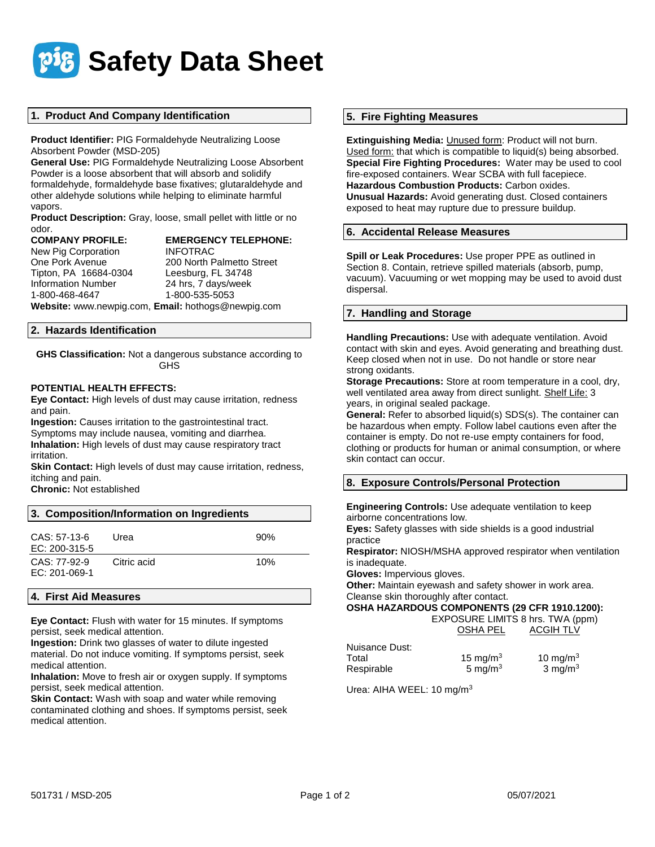

# **1. Product And Company Identification**

**Product Identifier:** PIG Formaldehyde Neutralizing Loose Absorbent Powder (MSD-205)

**General Use:** PIG Formaldehyde Neutralizing Loose Absorbent Powder is a loose absorbent that will absorb and solidify formaldehyde, formaldehyde base fixatives; glutaraldehyde and other aldehyde solutions while helping to eliminate harmful vapors.

**Product Description:** Gray, loose, small pellet with little or no odor.

| <b>COMPANY PROFILE:</b>   | <b>EMERGENCY TELEPHONE:</b> |
|---------------------------|-----------------------------|
| New Pig Corporation       | <b>INFOTRAC</b>             |
| One Pork Avenue           | 200 North Palmetto Street   |
| Tipton, PA 16684-0304     | Leesburg, FL 34748          |
| <b>Information Number</b> | 24 hrs, 7 days/week         |
| 1-800-468-4647            | 1-800-535-5053              |

**Website:** www.newpig.com, **Email:** hothogs@newpig.com

#### **2. Hazards Identification**

**GHS Classification:** Not a dangerous substance according to GHS

# **POTENTIAL HEALTH EFFECTS:**

**Eye Contact:** High levels of dust may cause irritation, redness and pain.

**Ingestion:** Causes irritation to the gastrointestinal tract. Symptoms may include nausea, vomiting and diarrhea. **Inhalation:** High levels of dust may cause respiratory tract irritation.

**Skin Contact:** High levels of dust may cause irritation, redness, itching and pain.

**Chronic:** Not established

#### **3. Composition/Information on Ingredients**

| CAS: 57-13-6<br>EC: 200-315-5   | Urea        | 90% |
|---------------------------------|-------------|-----|
| $CAS: 77-92-9$<br>EC: 201-069-1 | Citric acid | 10% |

#### **4. First Aid Measures**

**Eye Contact:** Flush with water for 15 minutes. If symptoms persist, seek medical attention.

**Ingestion:** Drink two glasses of water to dilute ingested material. Do not induce vomiting. If symptoms persist, seek medical attention.

**Inhalation:** Move to fresh air or oxygen supply. If symptoms persist, seek medical attention.

**Skin Contact:** Wash with soap and water while removing contaminated clothing and shoes. If symptoms persist, seek medical attention.

#### **5. Fire Fighting Measures**

**Extinguishing Media:** Unused form: Product will not burn. Used form: that which is compatible to liquid(s) being absorbed. **Special Fire Fighting Procedures:** Water may be used to cool fire-exposed containers. Wear SCBA with full facepiece. **Hazardous Combustion Products:** Carbon oxides. **Unusual Hazards:** Avoid generating dust. Closed containers exposed to heat may rupture due to pressure buildup.

#### **6. Accidental Release Measures**

**Spill or Leak Procedures:** Use proper PPE as outlined in Section 8. Contain, retrieve spilled materials (absorb, pump, vacuum). Vacuuming or wet mopping may be used to avoid dust dispersal.

#### **7. Handling and Storage**

**Handling Precautions:** Use with adequate ventilation. Avoid contact with skin and eyes. Avoid generating and breathing dust. Keep closed when not in use. Do not handle or store near strong oxidants.

**Storage Precautions:** Store at room temperature in a cool, dry, well ventilated area away from direct sunlight. Shelf Life: 3 years, in original sealed package.

**General:** Refer to absorbed liquid(s) SDS(s). The container can be hazardous when empty. Follow label cautions even after the container is empty. Do not re-use empty containers for food, clothing or products for human or animal consumption, or where skin contact can occur.

# **8. Exposure Controls/Personal Protection**

**Engineering Controls:** Use adequate ventilation to keep airborne concentrations low.

**Eyes:** Safety glasses with side shields is a good industrial practice

**Respirator:** NIOSH/MSHA approved respirator when ventilation is inadequate.

**Gloves:** Impervious gloves.

**Other:** Maintain eyewash and safety shower in work area. Cleanse skin thoroughly after contact.

#### **OSHA HAZARDOUS COMPONENTS (29 CFR 1910.1200):**

 EXPOSURE LIMITS 8 hrs. TWA (ppm) OSHA PEL ACGIH TLV

| Nuisance Dust: |             |                    |
|----------------|-------------|--------------------|
| Total          | 15 mg/m $3$ | 10 mg/m $3$        |
| Respirable     | 5 mg/m $3$  | $3 \text{ mg/m}^3$ |

Urea: AIHA WEEL: 10 mg/m<sup>3</sup>